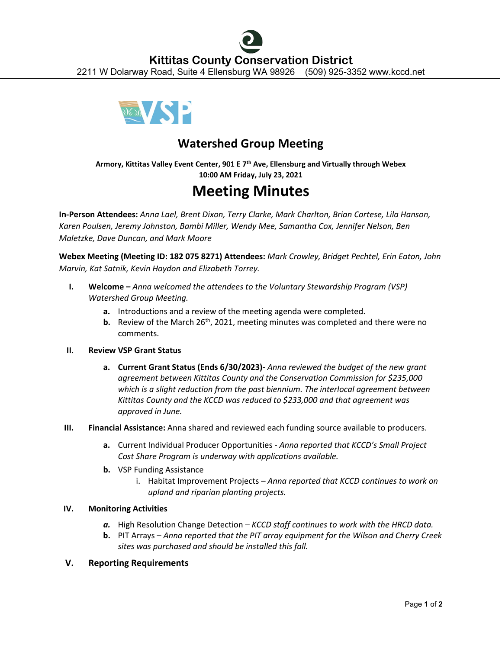

# **Watershed Group Meeting**

**Armory, Kittitas Valley Event Center, 901 E 7th Ave, Ellensburg and Virtually through Webex 10:00 AM Friday, July 23, 2021**

# **Meeting Minutes**

**In-Person Attendees:** *Anna Lael, Brent Dixon, Terry Clarke, Mark Charlton, Brian Cortese, Lila Hanson, Karen Poulsen, Jeremy Johnston, Bambi Miller, Wendy Mee, Samantha Cox, Jennifer Nelson, Ben Maletzke, Dave Duncan, and Mark Moore*

**Webex Meeting (Meeting ID: 182 075 8271) Attendees:** *Mark Crowley, Bridget Pechtel, Erin Eaton, John Marvin, Kat Satnik, Kevin Haydon and Elizabeth Torrey.* 

- **I. Welcome –** *Anna welcomed the attendees to the Voluntary Stewardship Program (VSP) Watershed Group Meeting.*
	- **a.** Introductions and a review of the meeting agenda were completed.
	- **b.** Review of the March 26<sup>th</sup>, 2021, meeting minutes was completed and there were no comments.

## **II. Review VSP Grant Status**

- **a. Current Grant Status (Ends 6/30/2023)-** *Anna reviewed the budget of the new grant agreement between Kittitas County and the Conservation Commission for \$235,000 which is a slight reduction from the past biennium. The interlocal agreement between Kittitas County and the KCCD was reduced to \$233,000 and that agreement was approved in June.*
- **III. Financial Assistance:** Anna shared and reviewed each funding source available to producers.
	- **a.** Current Individual Producer Opportunities *Anna reported that KCCD's Small Project Cost Share Program is underway with applications available.*
	- **b.** VSP Funding Assistance
		- i. Habitat Improvement Projects *Anna reported that KCCD continues to work on upland and riparian planting projects.*

## **IV. Monitoring Activities**

- *a.* High Resolution Change Detection *KCCD staff continues to work with the HRCD data.*
- **b.** PIT Arrays *Anna reported that the PIT array equipment for the Wilson and Cherry Creek sites was purchased and should be installed this fall.*

# **V. Reporting Requirements**